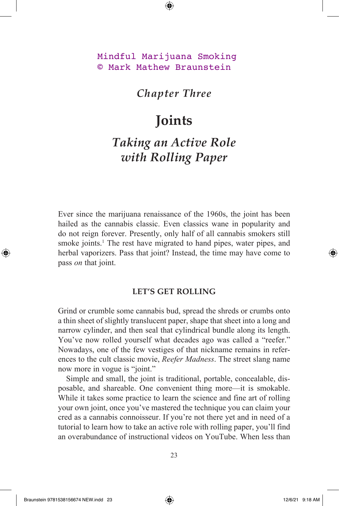### Mindful Marijuana Smoking © Mark Mathew Braunstein

### *Chapter Three*

## **Joints**

# *Taking an Active Role with Rolling Paper*

Ever since the marijuana renaissance of the 1960s, the joint has been hailed as the cannabis classic. Even classics wane in popularity and do not reign forever. Presently, only half of all cannabis smokers still smoke joints.<sup>1</sup> The rest have migrated to hand pipes, water pipes, and herbal vaporizers. Pass that joint? Instead, the time may have come to pass *on* that joint.

#### **LET'S GET ROLLING**

Grind or crumble some cannabis bud, spread the shreds or crumbs onto a thin sheet of slightly translucent paper, shape that sheet into a long and narrow cylinder, and then seal that cylindrical bundle along its length. You've now rolled yourself what decades ago was called a "reefer." Nowadays, one of the few vestiges of that nickname remains in references to the cult classic movie, *Reefer Madness*. The street slang name now more in vogue is "joint."

Simple and small, the joint is traditional, portable, concealable, disposable, and shareable. One convenient thing more—it is smokable. While it takes some practice to learn the science and fine art of rolling your own joint, once you've mastered the technique you can claim your cred as a cannabis connoisseur. If you're not there yet and in need of a tutorial to learn how to take an active role with rolling paper, you'll find an overabundance of instructional videos on YouTube. When less than